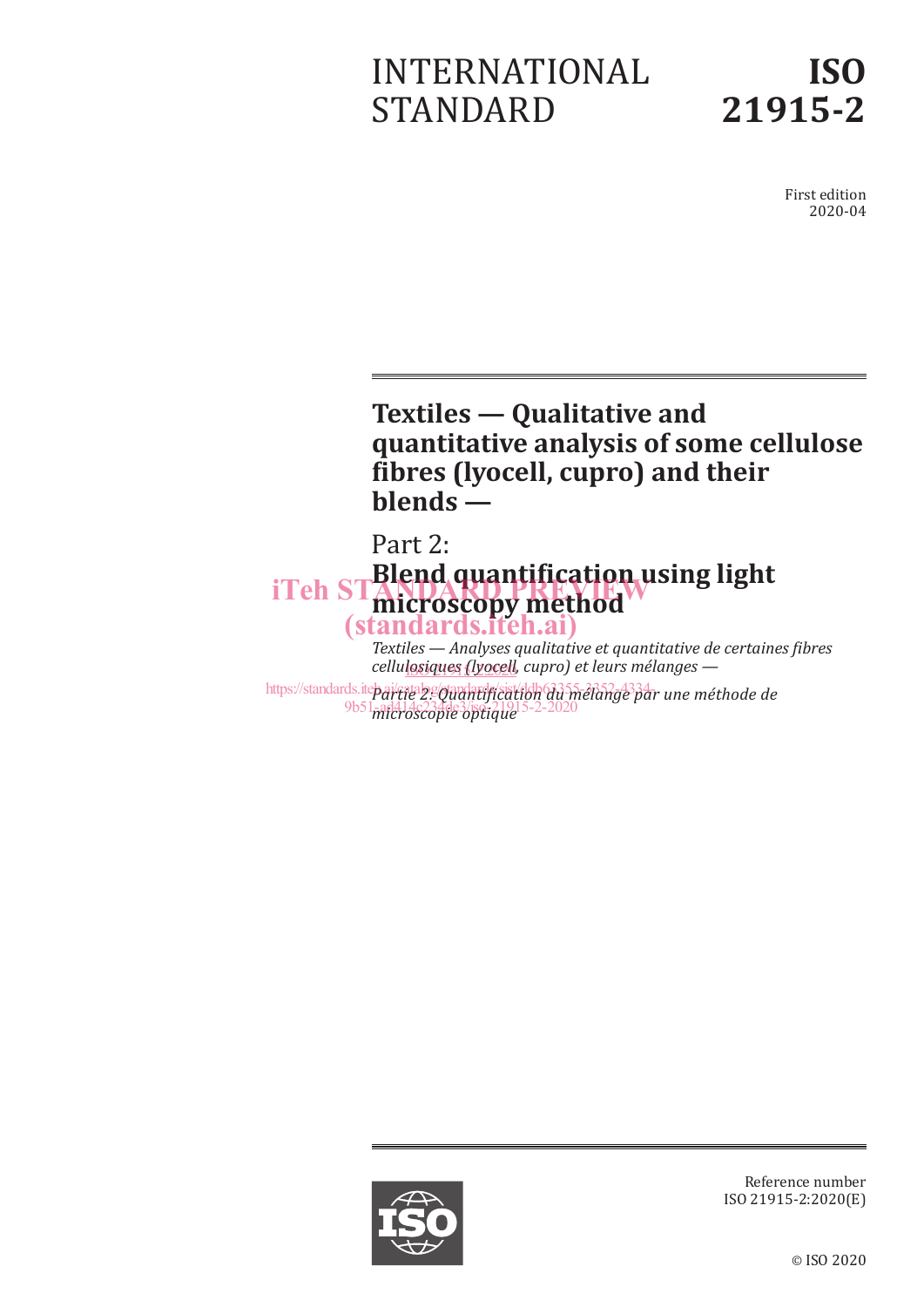# INTERNATIONAL STANDARD



First edition 2020-04

## **Textiles — Qualitative and quantitative analysis of some cellulose fibres (lyocell, cupro) and their blends —**

### Part 2: **Blend quantification using light microscopy method** iTeh STANDARD PREVIEWS (standards.iteh.ai)

*Textiles — Analyses qualitative et quantitative de certaines fibres cellulosiques (lyocell, cupro) et leurs mélanges —* ISO 21915-2:2020

*Partie 2: Quantification du mélange par une méthode de* https://standards.iteh.ai/catalog/standards/sist/ddb63355-3352-4334- 9b51<sub>microscopie optique<sup>15-2-2020</sup></sub>



Reference number ISO 21915-2:2020(E)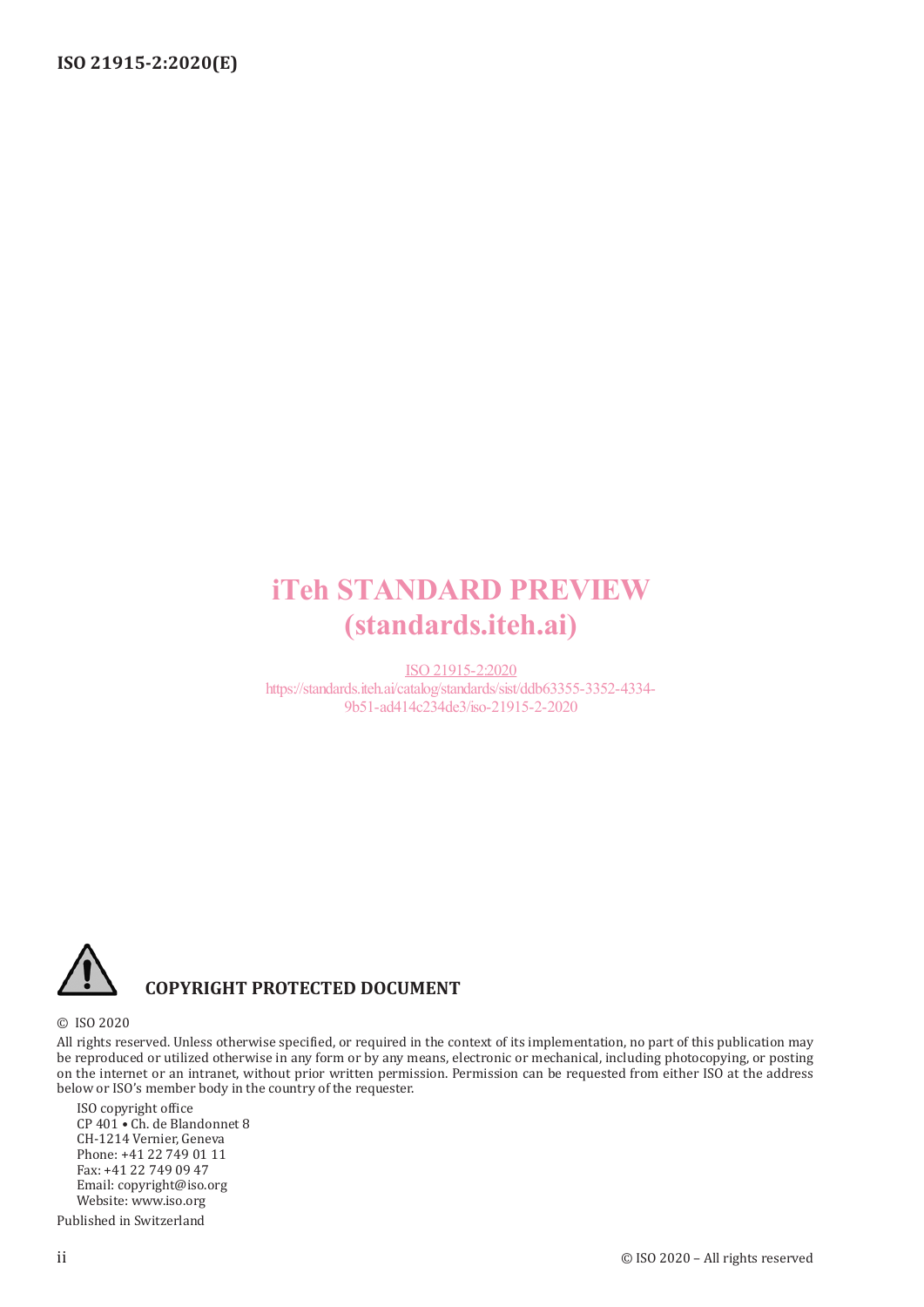# iTeh STANDARD PREVIEW (standards.iteh.ai)

ISO 21915-2:2020 https://standards.iteh.ai/catalog/standards/sist/ddb63355-3352-4334- 9b51-ad414c234de3/iso-21915-2-2020



## **COPYRIGHT PROTECTED DOCUMENT**

#### © ISO 2020

All rights reserved. Unless otherwise specified, or required in the context of its implementation, no part of this publication may be reproduced or utilized otherwise in any form or by any means, electronic or mechanical, including photocopying, or posting on the internet or an intranet, without prior written permission. Permission can be requested from either ISO at the address below or ISO's member body in the country of the requester.

ISO copyright office CP 401 • Ch. de Blandonnet 8 CH-1214 Vernier, Geneva Phone: +41 22 749 01 11 Fax: +41 22 749 09 47 Email: copyright@iso.org Website: www.iso.org

Published in Switzerland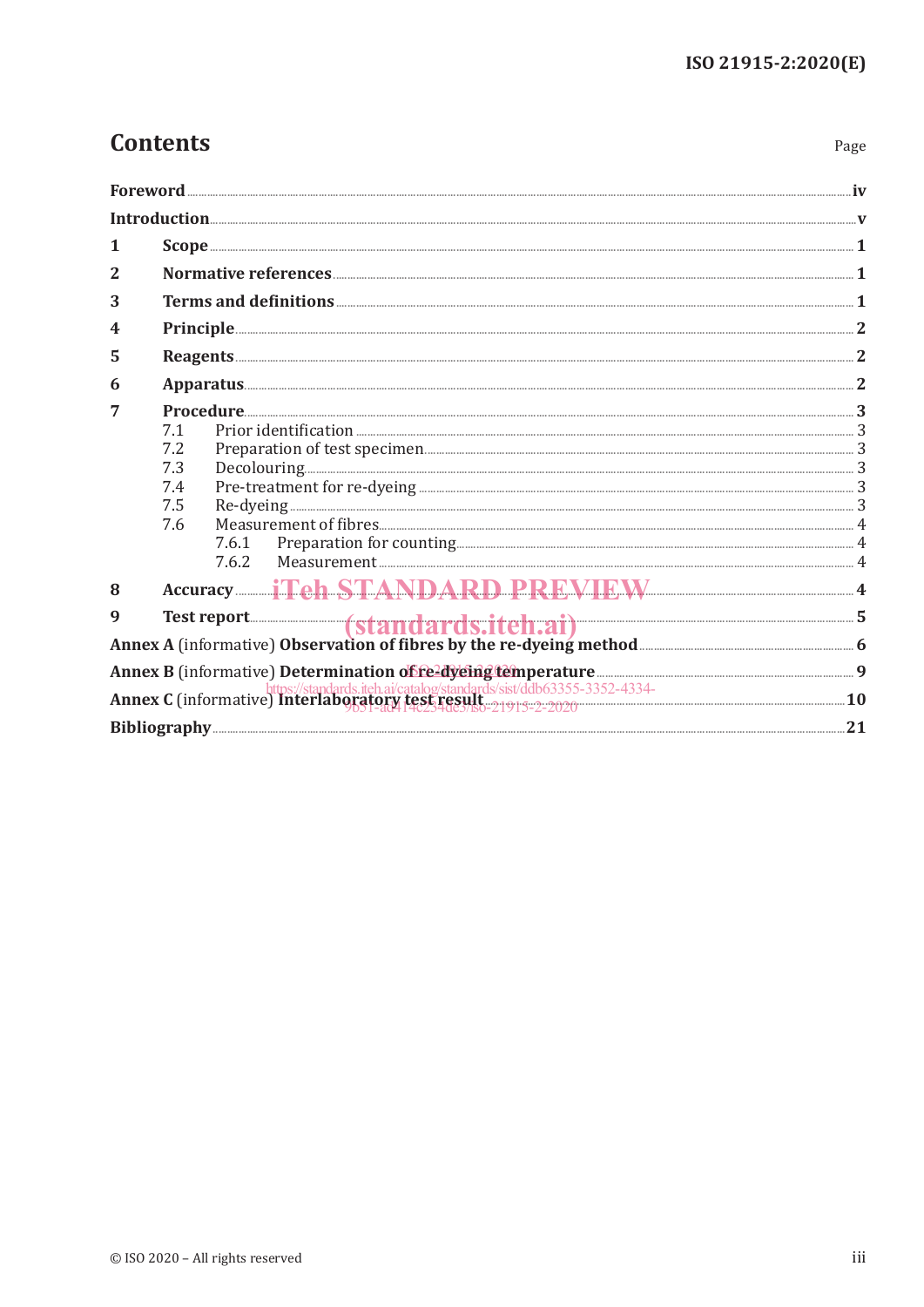Page

## **Contents**

| 1<br>2<br>3<br>4<br>5<br>Apparatus 2<br>6<br>Procedure 3<br>7<br>7.1<br>7.2<br>7.3<br>7.4<br>7.5<br>7.6                                                                                                                                   |
|-------------------------------------------------------------------------------------------------------------------------------------------------------------------------------------------------------------------------------------------|
|                                                                                                                                                                                                                                           |
|                                                                                                                                                                                                                                           |
|                                                                                                                                                                                                                                           |
|                                                                                                                                                                                                                                           |
|                                                                                                                                                                                                                                           |
|                                                                                                                                                                                                                                           |
|                                                                                                                                                                                                                                           |
|                                                                                                                                                                                                                                           |
|                                                                                                                                                                                                                                           |
|                                                                                                                                                                                                                                           |
|                                                                                                                                                                                                                                           |
|                                                                                                                                                                                                                                           |
|                                                                                                                                                                                                                                           |
|                                                                                                                                                                                                                                           |
| 7.6.1                                                                                                                                                                                                                                     |
| 7.6.2                                                                                                                                                                                                                                     |
| Accuracy <b>Accuracy Accuracy Accuracy Accuracy Accuracy Accuracy Accuracy Accuracy Accuracy Accuracy Accuracy Accuracy Accuracy Accuracy Accuracy Accuracy Accuracy Accuracy Accuracy Accuracy Accuracy Accuracy Accuracy Accur</b><br>8 |
| Test report (standards.itch.ai)<br>9                                                                                                                                                                                                      |
| Annex A (informative) Observation of fibres by the re-dyeing method <b>matter of the set of the set of the set of the set of the set of the set of the set of the set of the set of the set of the set of the set of the set of </b>      |
| Annex B (informative) Determination of feldyeing temperature manufacture 9                                                                                                                                                                |
| Annex C (informative) Interlaborate each experience of the standards iteh aircatalog/standards/sist/ddb63355-3352-4334-<br>Annex C (informative) Interlaborate interlation and the state of the state of the contract of the stat         |
|                                                                                                                                                                                                                                           |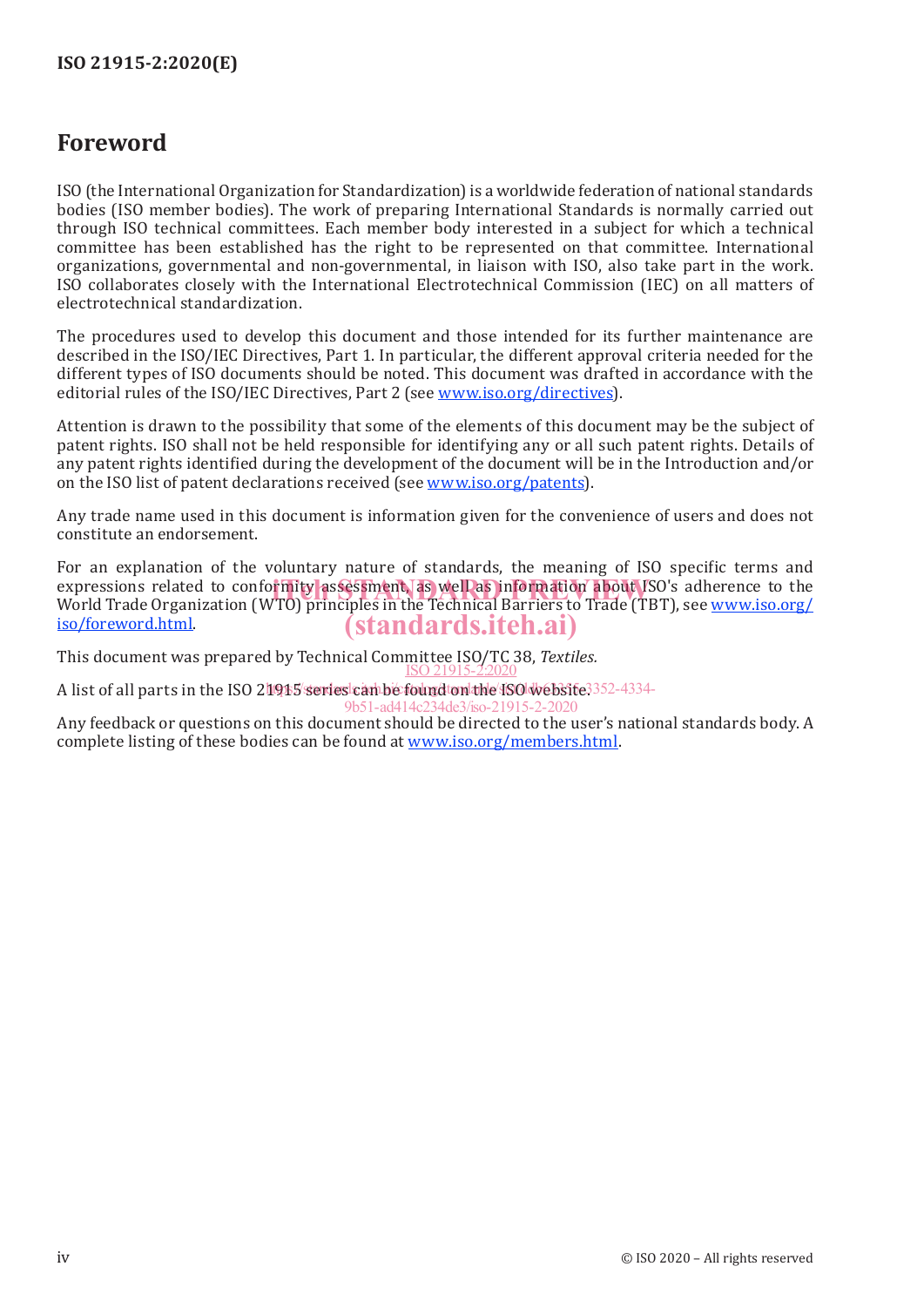## **Foreword**

ISO (the International Organization for Standardization) is a worldwide federation of national standards bodies (ISO member bodies). The work of preparing International Standards is normally carried out through ISO technical committees. Each member body interested in a subject for which a technical committee has been established has the right to be represented on that committee. International organizations, governmental and non-governmental, in liaison with ISO, also take part in the work. ISO collaborates closely with the International Electrotechnical Commission (IEC) on all matters of electrotechnical standardization.

The procedures used to develop this document and those intended for its further maintenance are described in the ISO/IEC Directives, Part 1. In particular, the different approval criteria needed for the different types of ISO documents should be noted. This document was drafted in accordance with the editorial rules of the ISO/IEC Directives, Part 2 (see www.iso.org/directives).

Attention is drawn to the possibility that some of the elements of this document may be the subject of patent rights. ISO shall not be held responsible for identifying any or all such patent rights. Details of any patent rights identified during the development of the document will be in the Introduction and/or on the ISO list of patent declarations received (see www.iso.org/patents).

Any trade name used in this document is information given for the convenience of users and does not constitute an endorsement.

For an explanation of the voluntary nature of standards, the meaning of ISO specific terms and expressions related to conformity assessment, as well as information about ISO's adherence to the<br>World Trade Organization (WTO) principles in the Technical Barriers to Trade (TBT), see www.iso.org/ World Trade Organization (WTO) principles in the Technical Barriers to Trade (TBT), see www.iso.org/ iso/foreword.html. (standards.iteh.ai)

This document was prepared by Technical Committee ISO/TC 38, *Textiles.*

A list of all parts in the ISO 21915 series can be found to the ISO website 3352-4334-ISO 21915-2:2020

9b51-ad414c234de3/iso-21915-2-2020

Any feedback or questions on this document should be directed to the user's national standards body. A complete listing of these bodies can be found at www.iso.org/members.html.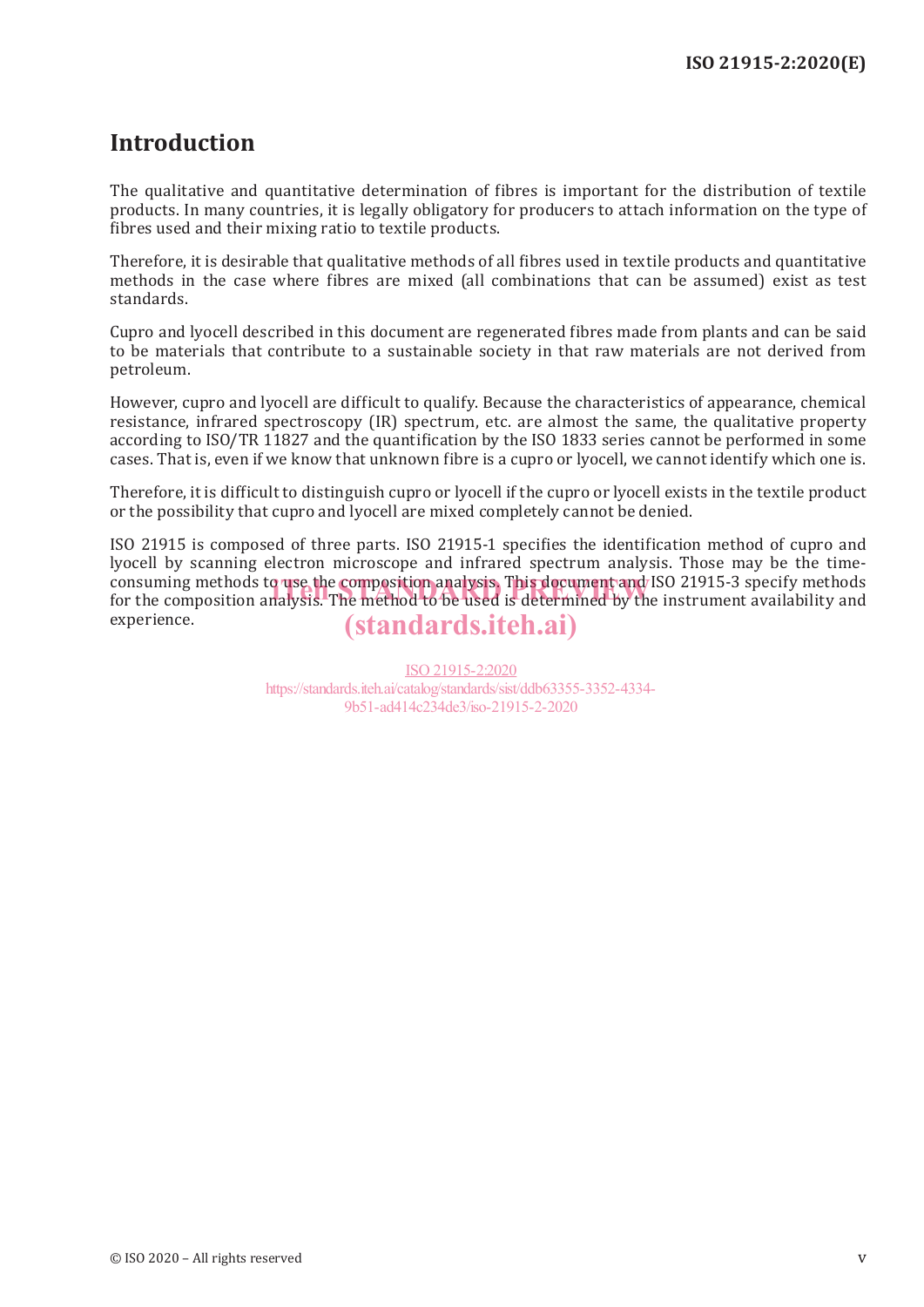## **Introduction**

The qualitative and quantitative determination of fibres is important for the distribution of textile products. In many countries, it is legally obligatory for producers to attach information on the type of fibres used and their mixing ratio to textile products.

Therefore, it is desirable that qualitative methods of all fibres used in textile products and quantitative methods in the case where fibres are mixed (all combinations that can be assumed) exist as test standards.

Cupro and lyocell described in this document are regenerated fibres made from plants and can be said to be materials that contribute to a sustainable society in that raw materials are not derived from petroleum.

However, cupro and lyocell are difficult to qualify. Because the characteristics of appearance, chemical resistance, infrared spectroscopy (IR) spectrum, etc. are almost the same, the qualitative property according to ISO/TR 11827 and the quantification by the ISO 1833 series cannot be performed in some cases. That is, even if we know that unknown fibre is a cupro or lyocell, we cannot identify which one is.

Therefore, it is difficult to distinguish cupro or lyocell if the cupro or lyocell exists in the textile product or the possibility that cupro and lyocell are mixed completely cannot be denied.

ISO 21915 is composed of three parts. ISO 21915-1 specifies the identification method of cupro and lyocell by scanning electron microscope and infrared spectrum analysis. Those may be the timeconsuming methods to use the composition analysis. This document and ISO 21915-3 specify methods consuming methods to use the composition analysis. This document and ISO 21915-3 specify methods<br>for the composition analysis. The method to be used is determined by the instrument availability and experience. (standards.iteh.ai)

> ISO 21915-2:2020 https://standards.iteh.ai/catalog/standards/sist/ddb63355-3352-4334- 9b51-ad414c234de3/iso-21915-2-2020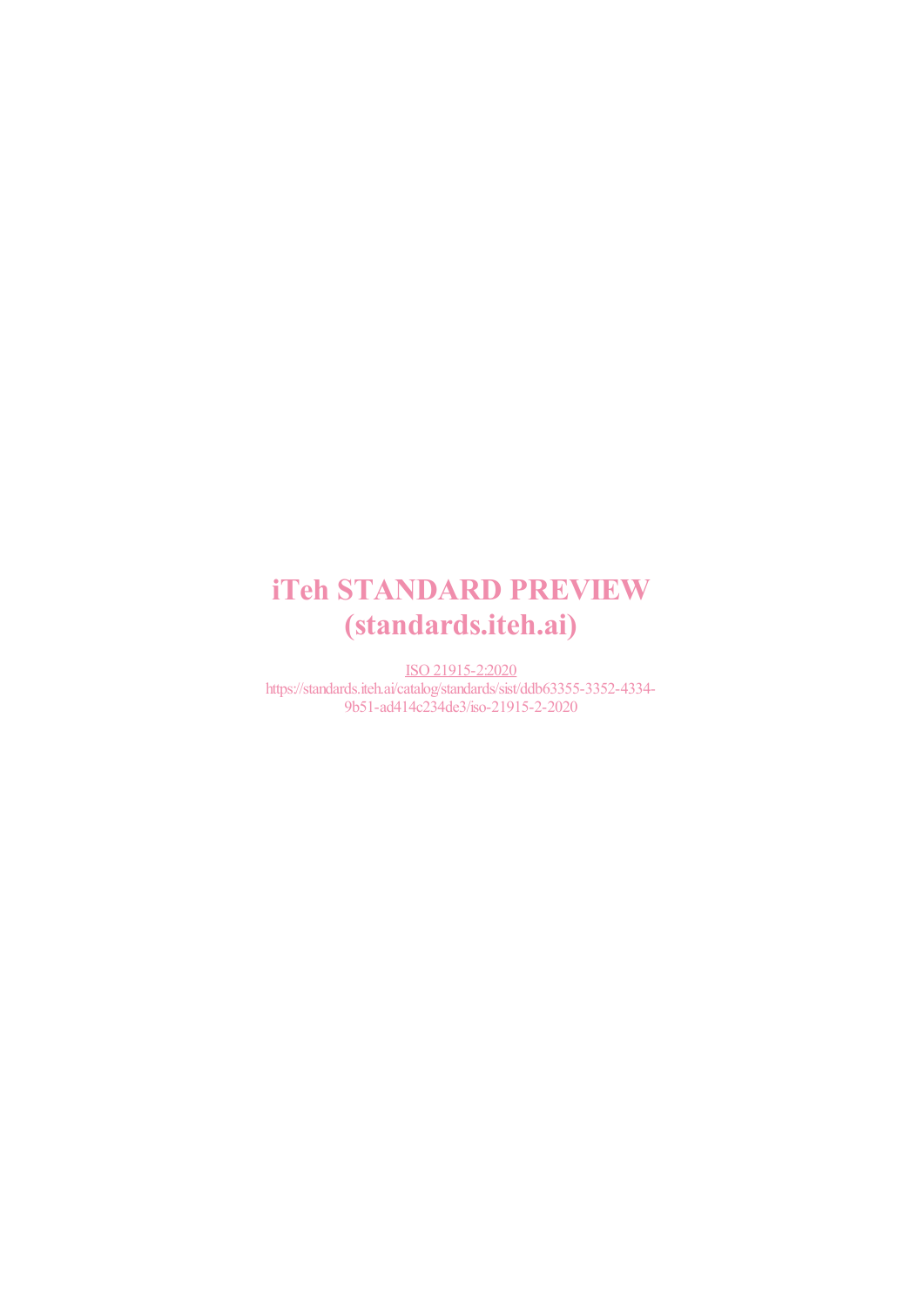# iTeh STANDARD PREVIEW (standards.iteh.ai)

ISO 21915-2:2020 https://standards.iteh.ai/catalog/standards/sist/ddb63355-3352-4334- 9b51-ad414c234de3/iso-21915-2-2020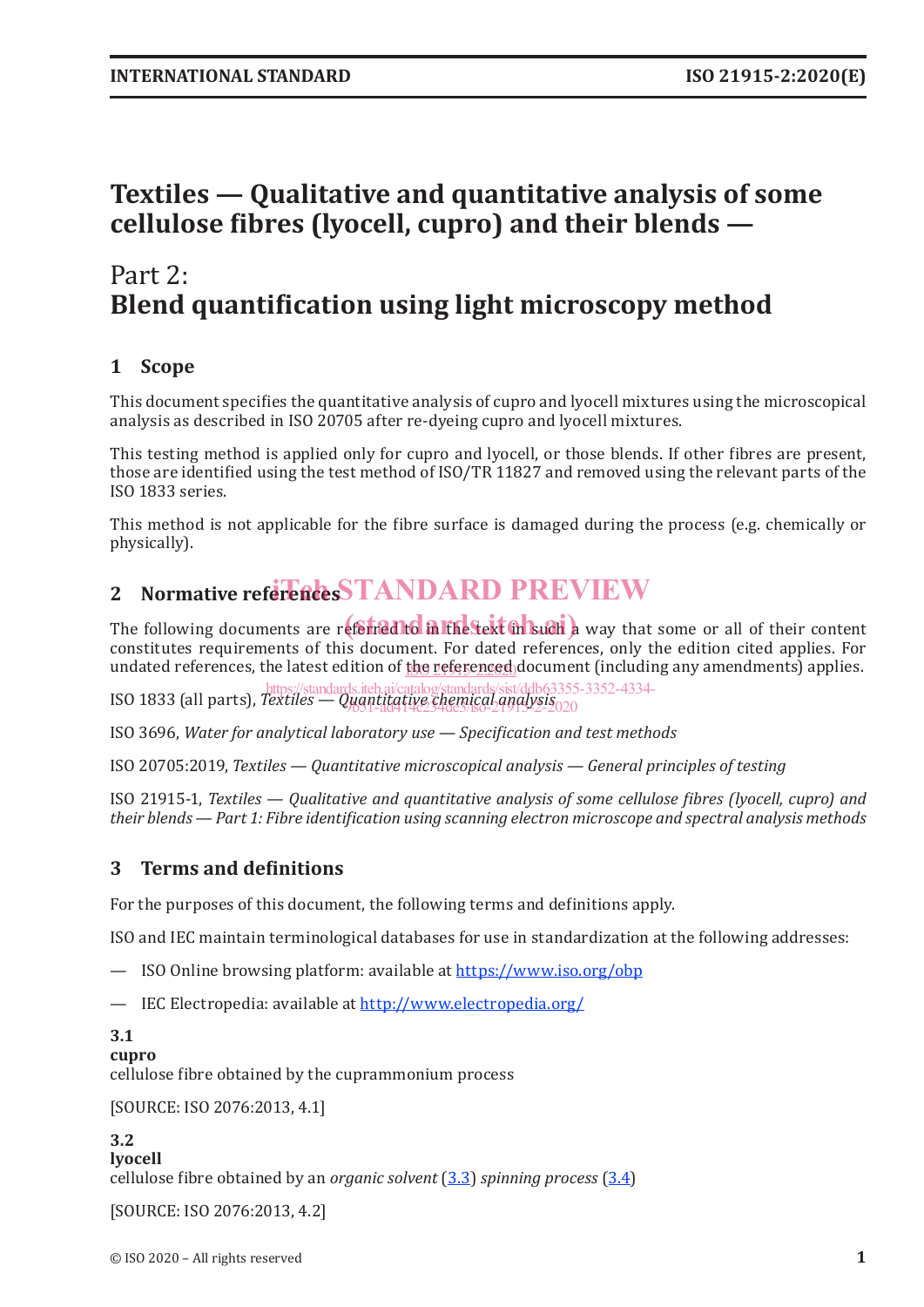## **Textiles — Qualitative and quantitative analysis of some cellulose fibres (lyocell, cupro) and their blends —**

## Part 2: **Blend quantification using light microscopy method**

## **1 Scope**

This document specifies the quantitative analysis of cupro and lyocell mixtures using the microscopical analysis as described in ISO 20705 after re-dyeing cupro and lyocell mixtures.

This testing method is applied only for cupro and lyocell, or those blends. If other fibres are present, those are identified using the test method of ISO/TR 11827 and removed using the relevant parts of the ISO 1833 series.

This method is not applicable for the fibre surface is damaged during the process (e.g. chemically or physically).

## 2 Normative references **TANDARD PREVIEW**

The following documents are referred to in the text this uch a way that some or all of their content constitutes requirements of this document. For dated references, only the edition cited applies. For undated references, the latest edition of <u>the referenced</u> document (including any amendments) applies.

ISO 1833 (all parts), *Textiles — Quantitative chemical analysis* https://standards.iteh.ai/catalog/standards/sist/ddb63355-3352-4334- 700111001110061101110015019191818<sub>020</sub>

ISO 3696, *Water for analytical laboratory use — Specification and test methods*

ISO 20705:2019, *Textiles — Quantitative microscopical analysis — General principles of testing*

ISO 21915-1, *Textiles — Qualitative and quantitative analysis of some cellulose fibres (lyocell, cupro) and their blends — Part 1: Fibre identification using scanning electron microscope and spectral analysis methods*

## **3 Terms and definitions**

For the purposes of this document, the following terms and definitions apply.

ISO and IEC maintain terminological databases for use in standardization at the following addresses:

- ISO Online browsing platform: available at https://www.iso.org/obp
- IEC Electropedia: available at http://www.electropedia.org/

### **3.1**

**cupro**

cellulose fibre obtained by the cuprammonium process

[SOURCE: ISO 2076:2013, 4.1]

## **3.2**

**lyocell** cellulose fibre obtained by an *organic solvent* (3.3) *spinning process* (3.4)

[SOURCE: ISO 2076:2013, 4.2]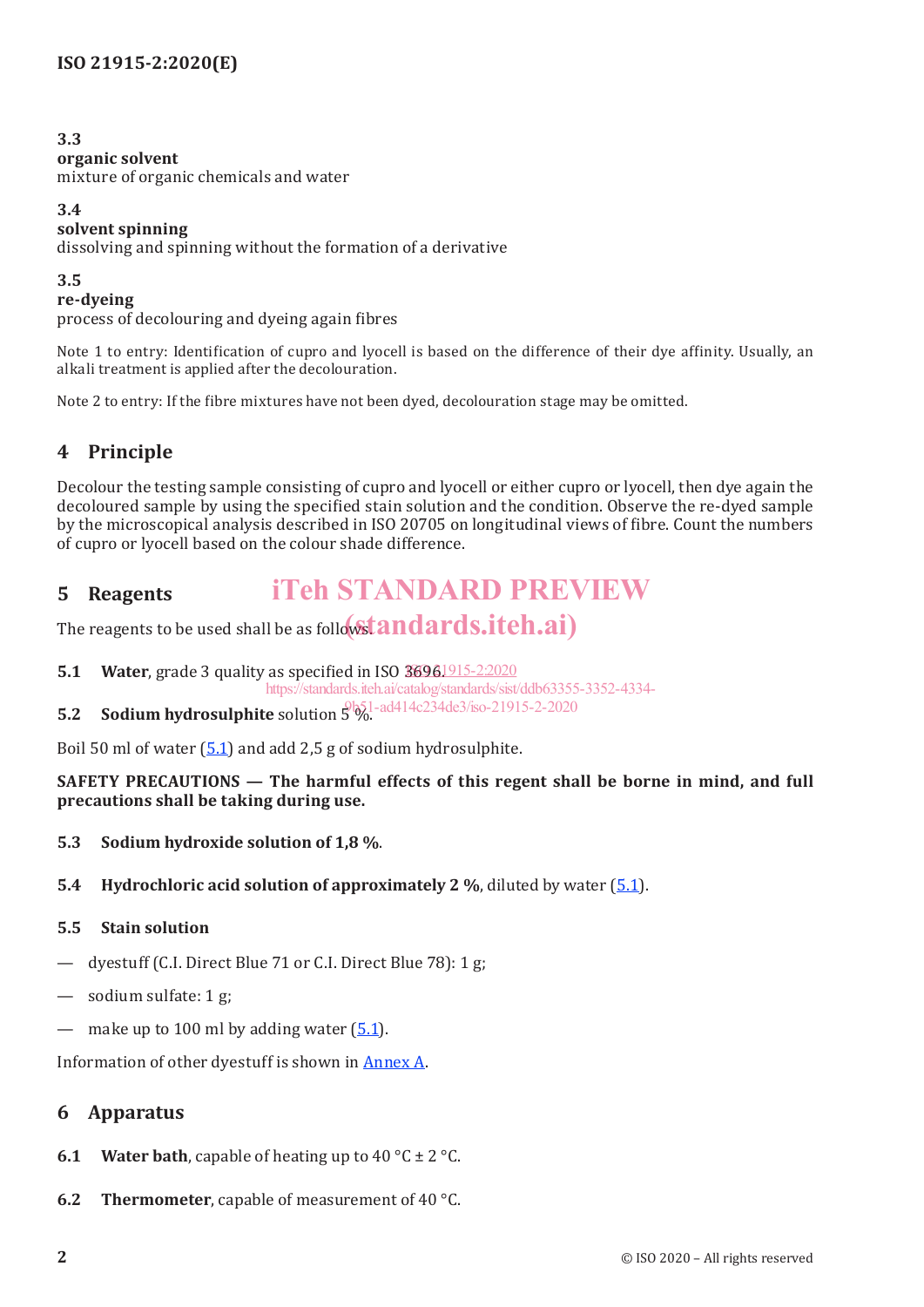#### **3.3**

#### **organic solvent**

mixture of organic chemicals and water

#### **3.4**

#### **solvent spinning**

dissolving and spinning without the formation of a derivative

#### **3.5**

#### **re-dyeing**

process of decolouring and dyeing again fibres

Note 1 to entry: Identification of cupro and lyocell is based on the difference of their dye affinity. Usually, an alkali treatment is applied after the decolouration.

Note 2 to entry: If the fibre mixtures have not been dyed, decolouration stage may be omitted.

## **4 Principle**

Decolour the testing sample consisting of cupro and lyocell or either cupro or lyocell, then dye again the decoloured sample by using the specified stain solution and the condition. Observe the re-dyed sample by the microscopical analysis described in ISO 20705 on longitudinal views of fibre. Count the numbers of cupro or lyocell based on the colour shade difference.

#### **5 Reagents** iTeh STANDARD PREVIEW

The reagents to be used shall be as follo**ws.**  $\mathbf{andards.}$ **iteh.ai**)

**5.1 Water**, grade 3 quality as specified in ISO 36961915-2:2020

https://standards.iteh.ai/catalog/standards/sist/ddb63355-3352-4334-

**5.2 Sodium hydrosulphite** solution  $\frac{6}{5}\sqrt[3]{6}$ . ad414c234de3/iso-21915-2-2020

Boil 50 ml of water (5.1) and add 2,5 g of sodium hydrosulphite.

#### **SAFETY PRECAUTIONS — The harmful effects of this regent shall be borne in mind, and full precautions shall be taking during use.**

- **5.3 Sodium hydroxide solution of 1,8 %**.
- **5.4 Hydrochloric acid solution of approximately 2 %**, diluted by water (5.1).

#### **5.5 Stain solution**

- dyestuff (C.I. Direct Blue 71 or C.I. Direct Blue 78): 1 g;
- sodium sulfate: 1 g:
- make up to 100 ml by adding water  $(5.1)$ .

Information of other dyestuff is shown in Annex A.

#### **6 Apparatus**

- **6.1 Water bath**, capable of heating up to 40 °C  $\pm$  2 °C.
- **6.2 Thermometer**, capable of measurement of 40 °C.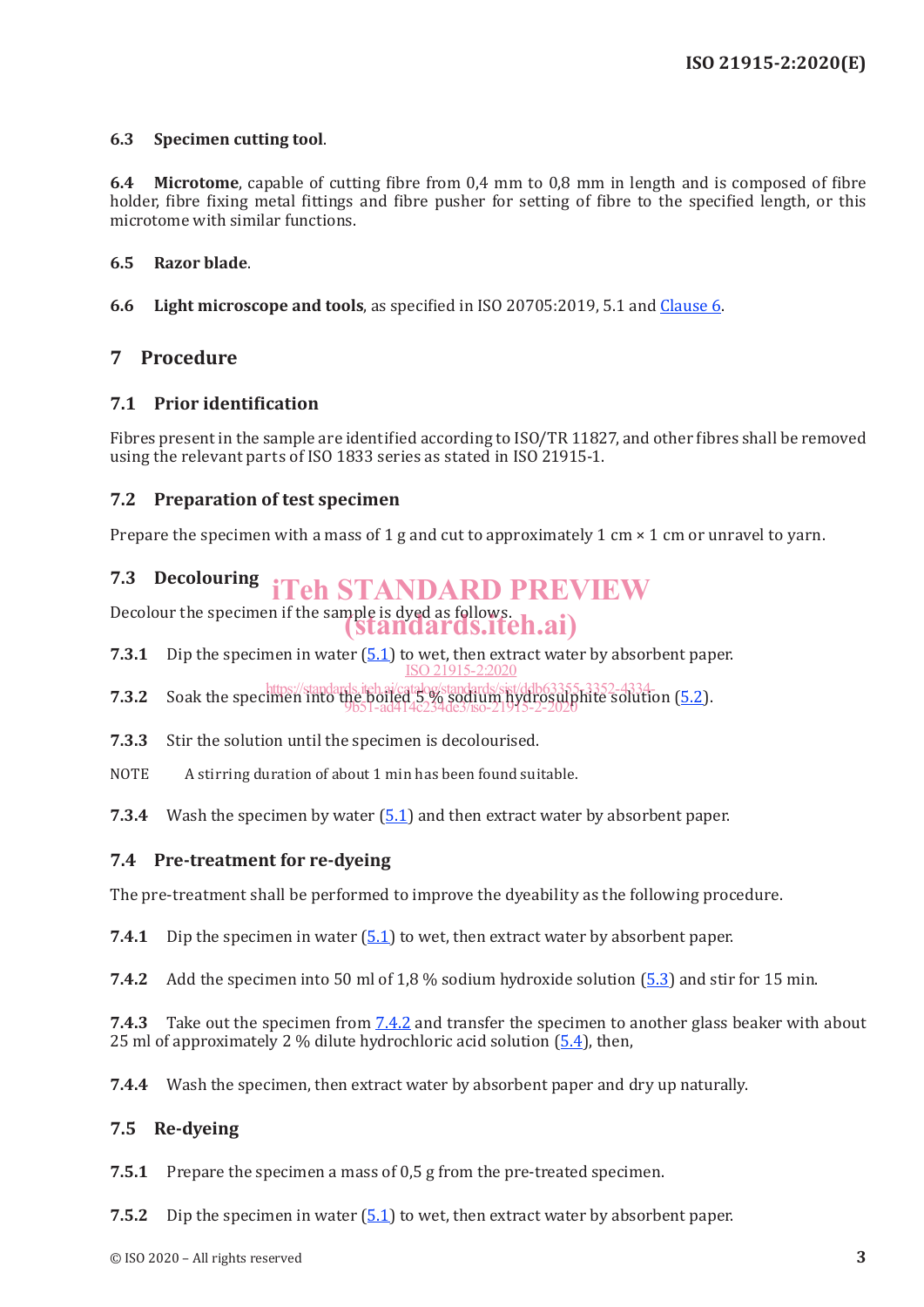#### **6.3 Specimen cutting tool**.

**6.4 Microtome**, capable of cutting fibre from 0,4 mm to 0,8 mm in length and is composed of fibre holder, fibre fixing metal fittings and fibre pusher for setting of fibre to the specified length, or this microtome with similar functions.

#### **6.5 Razor blade**.

**6.6 Light microscope and tools**, as specified in ISO 20705:2019, 5.1 and Clause 6.

#### **7 Procedure**

#### **7.1 Prior identification**

Fibres present in the sample are identified according to ISO/TR 11827, and other fibres shall be removed using the relevant parts of ISO 1833 series as stated in ISO 21915-1.

#### **7.2 Preparation of test specimen**

Prepare the specimen with a mass of 1 g and cut to approximately 1 cm  $\times$  1 cm or unravel to yarn.

#### **7.3 Decolouring** iTeh STANDARD PREVIEW

Decolour the specimen if the sample is dyed as follows.<br> **Standards.itch.ai**)

- **7.3.1** Dip the specimen in water (5.1) to wet, then extract water by absorbent paper. ISO 21915-2:2020
- **7.3.2** Soak the specimen into the bailed 5 standards/sist/ddb63355-3352-4334-<br>**7.3.2** Soak the specimen into the boiled 45.234 sodium hydrosulphite solution (5.2). 9b51-ad414c234de3/iso-21915-2-2020
- **7.3.3** Stir the solution until the specimen is decolourised.
- NOTE A stirring duration of about 1 min has been found suitable.
- **7.3.4** Wash the specimen by water (5.1) and then extract water by absorbent paper.

#### **7.4 Pre-treatment for re-dyeing**

The pre-treatment shall be performed to improve the dyeability as the following procedure.

**7.4.1** Dip the specimen in water  $(5.1)$  to wet, then extract water by absorbent paper.

**7.4.2** Add the specimen into 50 ml of 1,8 % sodium hydroxide solution (5.3) and stir for 15 min.

**7.4.3** Take out the specimen from 7.4.2 and transfer the specimen to another glass beaker with about 25 ml of approximately 2 % dilute hydrochloric acid solution  $(5.4)$ , then,

**7.4.4** Wash the specimen, then extract water by absorbent paper and dry up naturally.

#### **7.5 Re-dyeing**

**7.5.1** Prepare the specimen a mass of 0,5 g from the pre-treated specimen.

**7.5.2** Dip the specimen in water (5.1) to wet, then extract water by absorbent paper.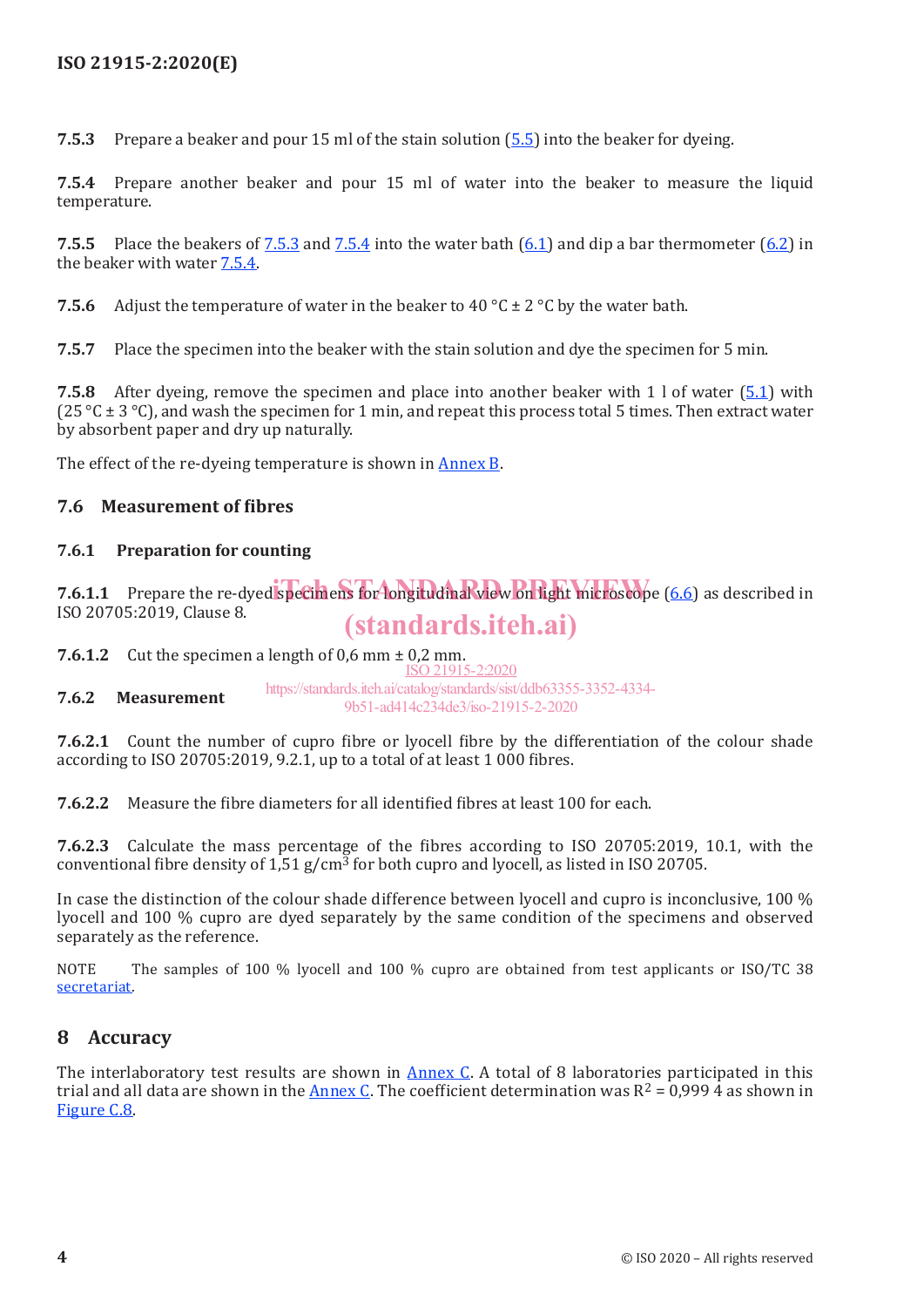**7.5.3** Prepare a beaker and pour 15 ml of the stain solution (5.5) into the beaker for dyeing.

**7.5.4** Prepare another beaker and pour 15 ml of water into the beaker to measure the liquid temperature.

**7.5.5** Place the beakers of 7.5.3 and 7.5.4 into the water bath (6.1) and dip a bar thermometer (6.2) in the beaker with water 7.5.4.

**7.5.6** Adjust the temperature of water in the beaker to 40 °C  $\pm$  2 °C by the water bath.

**7.5.7** Place the specimen into the beaker with the stain solution and dye the specimen for 5 min.

**7.5.8** After dyeing, remove the specimen and place into another beaker with 1 l of water (5.1) with (25 °C  $\pm$  3 °C), and wash the specimen for 1 min, and repeat this process total 5 times. Then extract water by absorbent paper and dry up naturally.

The effect of the re-dyeing temperature is shown in Annex B.

#### **7.6 Measurement of fibres**

#### **7.6.1 Preparation for counting**

**7.6.1.1** Prepare the re-dyed specimens for longitudinal view on light microscope (6.6) as described in ISO 20705:2019, Clause 8. (standards.iteh.ai)

**7.6.1.2** Cut the specimen a length of  $0.6$  mm  $\pm 0.2$  mm.

**7.6.2 Measurement** ISO 21915-2:2020 https://standards.iteh.ai/catalog/standards/sist/ddb63355-3352-4334- 9b51-ad414c234de3/iso-21915-2-2020

**7.6.2.1** Count the number of cupro fibre or lyocell fibre by the differentiation of the colour shade according to ISO 20705:2019, 9.2.1, up to a total of at least 1 000 fibres.

**7.6.2.2** Measure the fibre diameters for all identified fibres at least 100 for each.

**7.6.2.3** Calculate the mass percentage of the fibres according to ISO 20705:2019, 10.1, with the conventional fibre density of  $1.51$  g/cm<sup>3</sup> for both cupro and lyocell, as listed in ISO 20705.

In case the distinction of the colour shade difference between lyocell and cupro is inconclusive, 100 % lyocell and 100 % cupro are dyed separately by the same condition of the specimens and observed separately as the reference.

NOTE The samples of 100 % lyocell and 100 % cupro are obtained from test applicants or ISO/TC 38 secretariat.

#### **8 Accuracy**

The interlaboratory test results are shown in **Annex C**. A total of 8 laboratories participated in this trial and all data are shown in the Annex C. The coefficient determination was  $R^2 = 0.999$  4 as shown in Figure C.8.